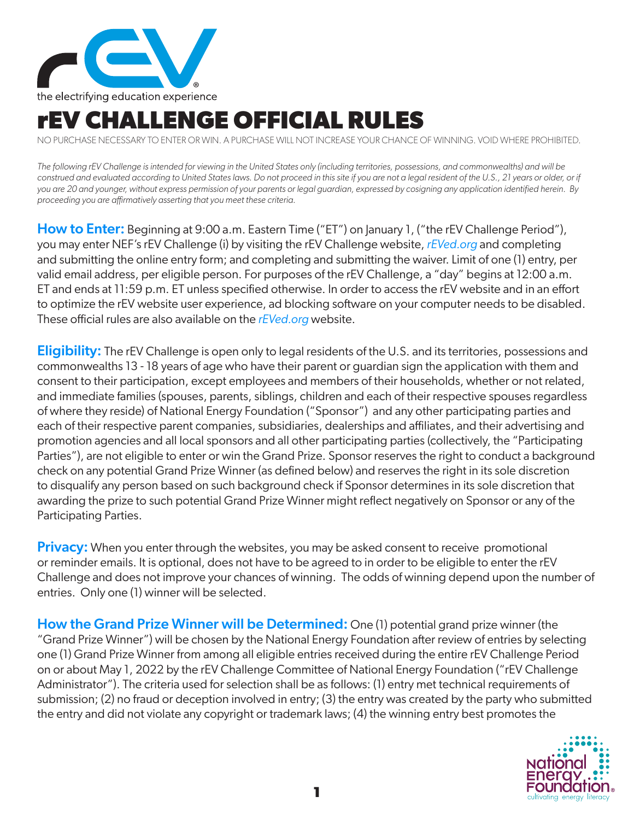

## **rEV CHALLENGE OFFICIAL RULES**

NO PURCHASE NECESSARY TO ENTER OR WIN. A PURCHASE WILL NOT INCREASE YOUR CHANCE OF WINNING. VOID WHERE PROHIBITED.

*The following rEV Challenge is intended for viewing in the United States only (including territories, possessions, and commonwealths) and will be construed and evaluated according to United States laws. Do not proceed in this site if you are not a legal resident of the U.S., 21 years or older, or if you are 20 and younger, without express permission of your parents or legal guardian, expressed by cosigning any application identified herein. By proceeding you are affirmatively asserting that you meet these criteria.*

How to Enter: Beginning at 9:00 a.m. Eastern Time ("ET") on January 1, ("the rEV Challenge Period"), you may enter NEF's rEV Challenge (i) by visiting the rEV Challenge website, *rEVed.org* and completing and submitting the online entry form; and completing and submitting the waiver. Limit of one (1) entry, per valid email address, per eligible person. For purposes of the rEV Challenge, a "day" begins at 12:00 a.m. ET and ends at 11:59 p.m. ET unless specified otherwise. In order to access the rEV website and in an effort to optimize the rEV website user experience, ad blocking software on your computer needs to be disabled. These official rules are also available on the *rEVed.org* website.

**Eligibility:** The rEV Challenge is open only to legal residents of the U.S. and its territories, possessions and commonwealths 13 - 18 years of age who have their parent or guardian sign the application with them and consent to their participation, except employees and members of their households, whether or not related, and immediate families (spouses, parents, siblings, children and each of their respective spouses regardless of where they reside) of National Energy Foundation ("Sponsor") and any other participating parties and each of their respective parent companies, subsidiaries, dealerships and affiliates, and their advertising and promotion agencies and all local sponsors and all other participating parties (collectively, the "Participating Parties"), are not eligible to enter or win the Grand Prize. Sponsor reserves the right to conduct a background check on any potential Grand Prize Winner (as defined below) and reserves the right in its sole discretion to disqualify any person based on such background check if Sponsor determines in its sole discretion that awarding the prize to such potential Grand Prize Winner might reflect negatively on Sponsor or any of the Participating Parties.

**Privacy:** When you enter through the websites, you may be asked consent to receive promotional or reminder emails. It is optional, does not have to be agreed to in order to be eligible to enter the rEV Challenge and does not improve your chances of winning. The odds of winning depend upon the number of entries. Only one (1) winner will be selected.

How the Grand Prize Winner will be Determined: One (1) potential grand prize winner (the "Grand Prize Winner") will be chosen by the National Energy Foundation after review of entries by selecting one (1) Grand Prize Winner from among all eligible entries received during the entire rEV Challenge Period on or about May 1, 2022 by the rEV Challenge Committee of National Energy Foundation ("rEV Challenge Administrator"). The criteria used for selection shall be as follows: (1) entry met technical requirements of submission; (2) no fraud or deception involved in entry; (3) the entry was created by the party who submitted the entry and did not violate any copyright or trademark laws; (4) the winning entry best promotes the

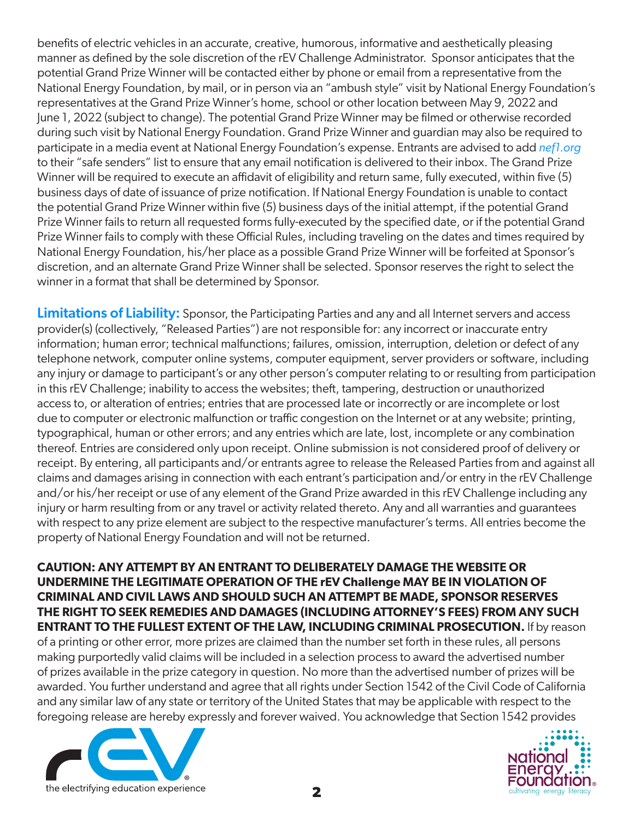benefits of electric vehicles in an accurate, creative, humorous, informative and aesthetically pleasing manner as defined by the sole discretion of the rEV Challenge Administrator. Sponsor anticipates that the potential Grand Prize Winner will be contacted either by phone or email from a representative from the National Energy Foundation, by mail, or in person via an "ambush style" visit by National Energy Foundation's representatives at the Grand Prize Winner's home, school or other location between May 9, 2022 and June 1, 2022 (subject to change). The potential Grand Prize Winner may be filmed or otherwise recorded during such visit by National Energy Foundation. Grand Prize Winner and guardian may also be required to participate in a media event at National Energy Foundation's expense. Entrants are advised to add *nef1.org* to their "safe senders" list to ensure that any email notification is delivered to their inbox. The Grand Prize Winner will be required to execute an affidavit of eligibility and return same, fully executed, within five (5) business days of date of issuance of prize notification. If National Energy Foundation is unable to contact the potential Grand Prize Winner within five (5) business days of the initial attempt, if the potential Grand Prize Winner fails to return all requested forms fully-executed by the specified date, or if the potential Grand Prize Winner fails to comply with these Official Rules, including traveling on the dates and times required by National Energy Foundation, his/her place as a possible Grand Prize Winner will be forfeited at Sponsor's discretion, and an alternate Grand Prize Winner shall be selected. Sponsor reserves the right to select the winner in a format that shall be determined by Sponsor.

Limitations of Liability: Sponsor, the Participating Parties and any and all Internet servers and access provider(s) (collectively, "Released Parties") are not responsible for: any incorrect or inaccurate entry information; human error; technical malfunctions; failures, omission, interruption, deletion or defect of any telephone network, computer online systems, computer equipment, server providers or software, including any injury or damage to participant's or any other person's computer relating to or resulting from participation in this rEV Challenge; inability to access the websites; theft, tampering, destruction or unauthorized access to, or alteration of entries; entries that are processed late or incorrectly or are incomplete or lost due to computer or electronic malfunction or traffic congestion on the Internet or at any website; printing, typographical, human or other errors; and any entries which are late, lost, incomplete or any combination thereof. Entries are considered only upon receipt. Online submission is not considered proof of delivery or receipt. By entering, all participants and/or entrants agree to release the Released Parties from and against all claims and damages arising in connection with each entrant's participation and/or entry in the rEV Challenge and/or his/her receipt or use of any element of the Grand Prize awarded in this rEV Challenge including any injury or harm resulting from or any travel or activity related thereto. Any and all warranties and guarantees with respect to any prize element are subject to the respective manufacturer's terms. All entries become the property of National Energy Foundation and will not be returned.

**CAUTION: ANY ATTEMPT BY AN ENTRANT TO DELIBERATELY DAMAGE THE WEBSITE OR UNDERMINE THE LEGITIMATE OPERATION OF THE rEV Challenge MAY BE IN VIOLATION OF CRIMINAL AND CIVIL LAWS AND SHOULD SUCH AN ATTEMPT BE MADE, SPONSOR RESERVES THE RIGHT TO SEEK REMEDIES AND DAMAGES (INCLUDING ATTORNEY'S FEES) FROM ANY SUCH ENTRANT TO THE FULLEST EXTENT OF THE LAW, INCLUDING CRIMINAL PROSECUTION.** If by reason of a printing or other error, more prizes are claimed than the number set forth in these rules, all persons making purportedly valid claims will be included in a selection process to award the advertised number of prizes available in the prize category in question. No more than the advertised number of prizes will be awarded. You further understand and agree that all rights under Section 1542 of the Civil Code of California and any similar law of any state or territory of the United States that may be applicable with respect to the foregoing release are hereby expressly and forever waived. You acknowledge that Section 1542 provides



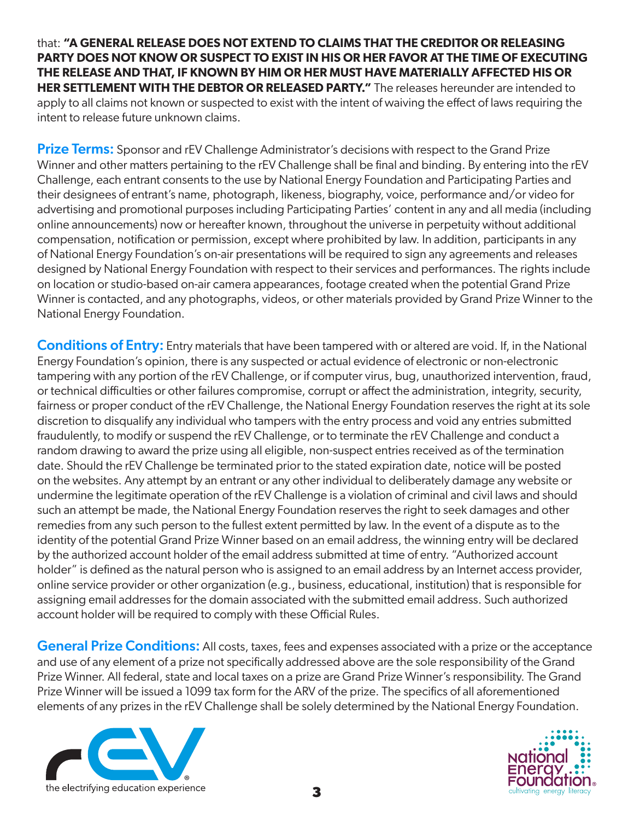that: **"A GENERAL RELEASE DOES NOT EXTEND TO CLAIMS THAT THE CREDITOR OR RELEASING PARTY DOES NOT KNOW OR SUSPECT TO EXIST IN HIS OR HER FAVOR AT THE TIME OF EXECUTING THE RELEASE AND THAT, IF KNOWN BY HIM OR HER MUST HAVE MATERIALLY AFFECTED HIS OR HER SETTLEMENT WITH THE DEBTOR OR RELEASED PARTY."** The releases hereunder are intended to apply to all claims not known or suspected to exist with the intent of waiving the effect of laws requiring the intent to release future unknown claims.

Prize Terms: Sponsor and rEV Challenge Administrator's decisions with respect to the Grand Prize Winner and other matters pertaining to the rEV Challenge shall be final and binding. By entering into the rEV Challenge, each entrant consents to the use by National Energy Foundation and Participating Parties and their designees of entrant's name, photograph, likeness, biography, voice, performance and/or video for advertising and promotional purposes including Participating Parties' content in any and all media (including online announcements) now or hereafter known, throughout the universe in perpetuity without additional compensation, notification or permission, except where prohibited by law. In addition, participants in any of National Energy Foundation's on-air presentations will be required to sign any agreements and releases designed by National Energy Foundation with respect to their services and performances. The rights include on location or studio-based on-air camera appearances, footage created when the potential Grand Prize Winner is contacted, and any photographs, videos, or other materials provided by Grand Prize Winner to the National Energy Foundation.

Conditions of Entry: Entry materials that have been tampered with or altered are void. If, in the National Energy Foundation's opinion, there is any suspected or actual evidence of electronic or non-electronic tampering with any portion of the rEV Challenge, or if computer virus, bug, unauthorized intervention, fraud, or technical difficulties or other failures compromise, corrupt or affect the administration, integrity, security, fairness or proper conduct of the rEV Challenge, the National Energy Foundation reserves the right at its sole discretion to disqualify any individual who tampers with the entry process and void any entries submitted fraudulently, to modify or suspend the rEV Challenge, or to terminate the rEV Challenge and conduct a random drawing to award the prize using all eligible, non-suspect entries received as of the termination date. Should the rEV Challenge be terminated prior to the stated expiration date, notice will be posted on the websites. Any attempt by an entrant or any other individual to deliberately damage any website or undermine the legitimate operation of the rEV Challenge is a violation of criminal and civil laws and should such an attempt be made, the National Energy Foundation reserves the right to seek damages and other remedies from any such person to the fullest extent permitted by law. In the event of a dispute as to the identity of the potential Grand Prize Winner based on an email address, the winning entry will be declared by the authorized account holder of the email address submitted at time of entry. "Authorized account holder" is defined as the natural person who is assigned to an email address by an Internet access provider, online service provider or other organization (e.g., business, educational, institution) that is responsible for assigning email addresses for the domain associated with the submitted email address. Such authorized account holder will be required to comply with these Official Rules.

**General Prize Conditions:** All costs, taxes, fees and expenses associated with a prize or the acceptance and use of any element of a prize not specifically addressed above are the sole responsibility of the Grand Prize Winner. All federal, state and local taxes on a prize are Grand Prize Winner's responsibility. The Grand Prize Winner will be issued a 1099 tax form for the ARV of the prize. The specifics of all aforementioned elements of any prizes in the rEV Challenge shall be solely determined by the National Energy Foundation.